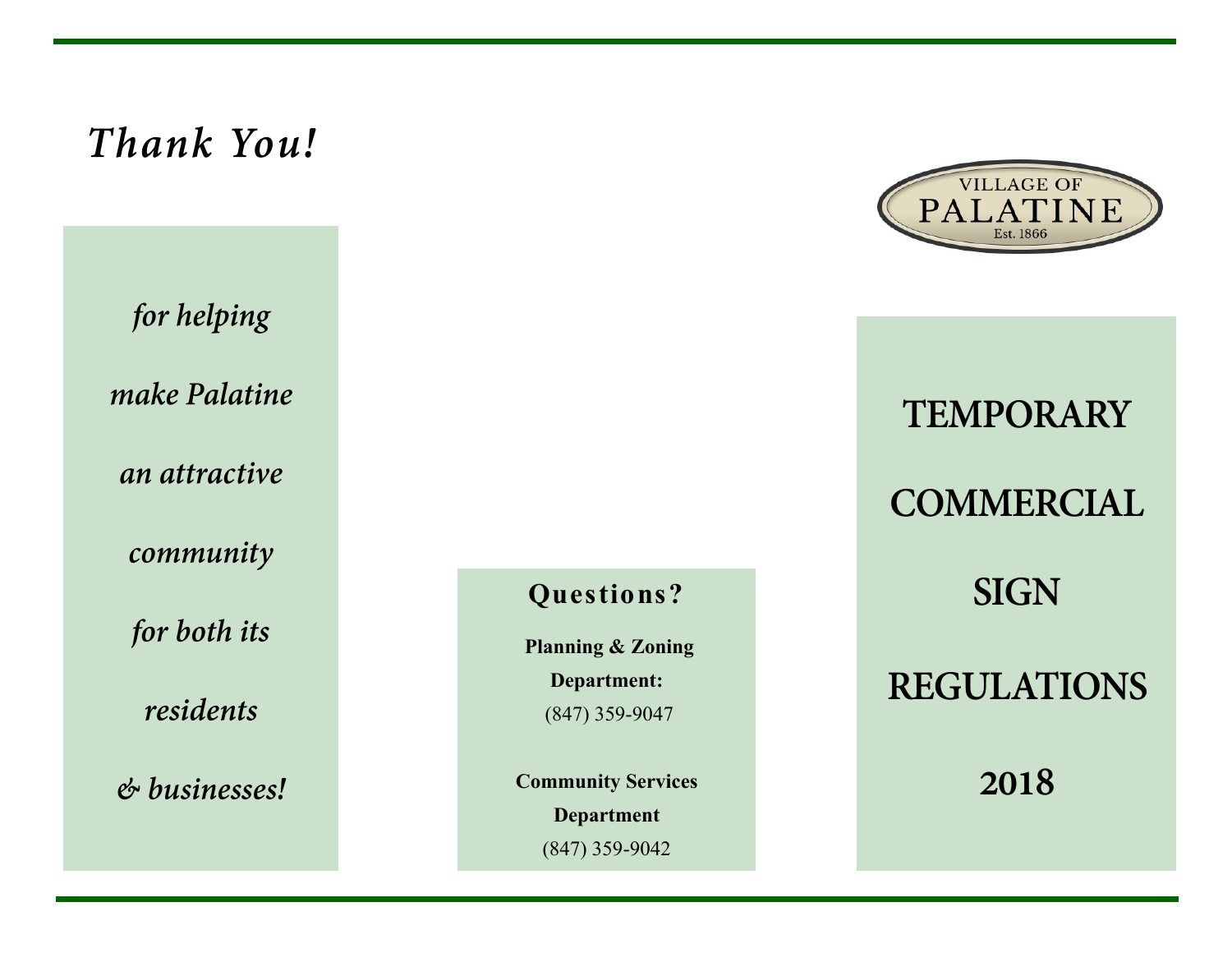